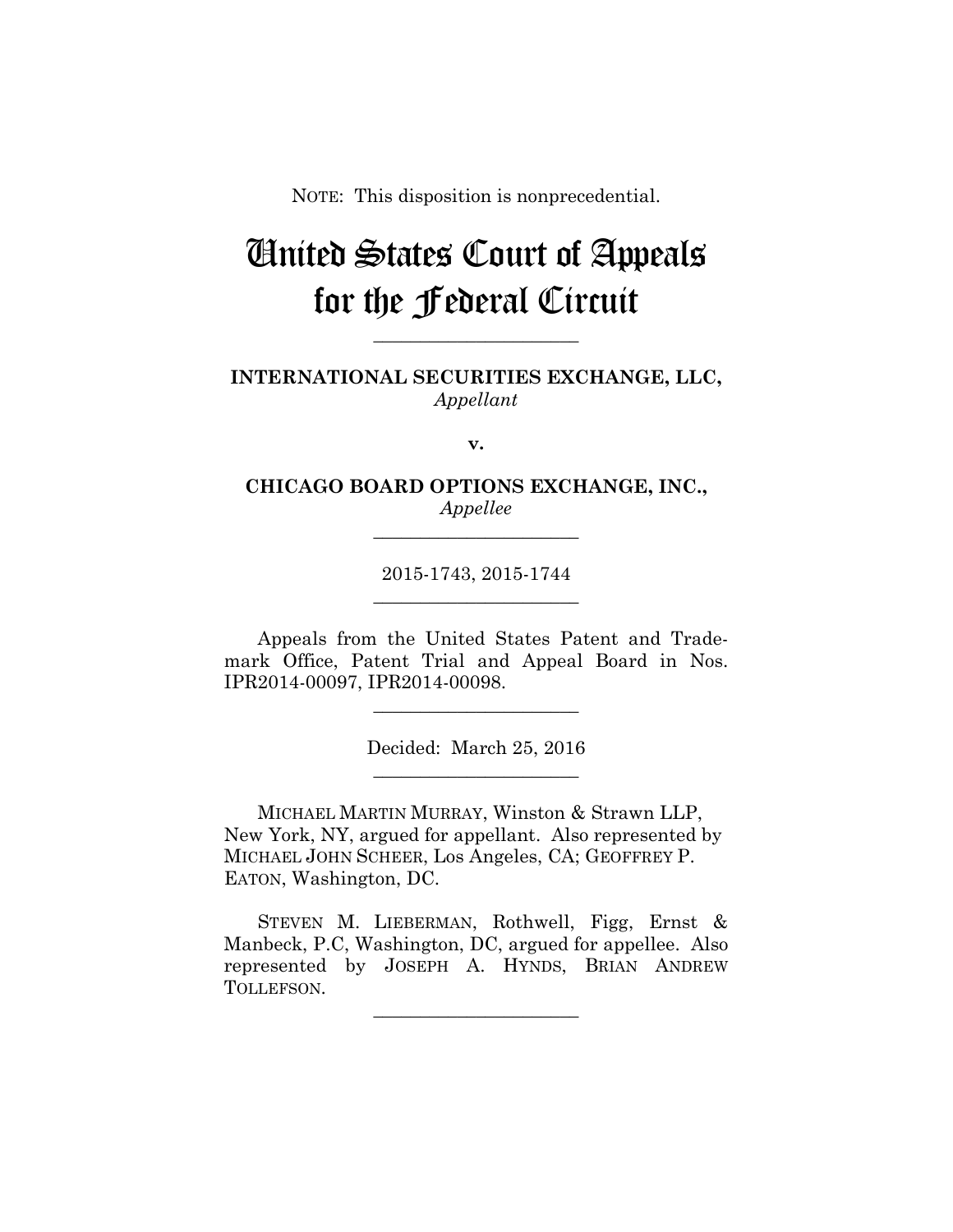NOTE: This disposition is nonprecedential.

## United States Court of Appeals for the Federal Circuit

**INTERNATIONAL SECURITIES EXCHANGE, LLC,** *Appellant*

**\_\_\_\_\_\_\_\_\_\_\_\_\_\_\_\_\_\_\_\_\_\_** 

**v.**

**CHICAGO BOARD OPTIONS EXCHANGE, INC.,** *Appellee*

**\_\_\_\_\_\_\_\_\_\_\_\_\_\_\_\_\_\_\_\_\_\_** 

2015-1743, 2015-1744 **\_\_\_\_\_\_\_\_\_\_\_\_\_\_\_\_\_\_\_\_\_\_** 

Appeals from the United States Patent and Trademark Office, Patent Trial and Appeal Board in Nos. IPR2014-00097, IPR2014-00098.

> Decided: March 25, 2016 **\_\_\_\_\_\_\_\_\_\_\_\_\_\_\_\_\_\_\_\_\_\_**

**\_\_\_\_\_\_\_\_\_\_\_\_\_\_\_\_\_\_\_\_\_\_** 

 MICHAEL MARTIN MURRAY, Winston & Strawn LLP, New York, NY, argued for appellant. Also represented by MICHAEL JOHN SCHEER, Los Angeles, CA; GEOFFREY P. EATON, Washington, DC.

STEVEN M. LIEBERMAN, Rothwell, Figg, Ernst & Manbeck, P.C, Washington, DC, argued for appellee. Also represented by JOSEPH A. HYNDS, BRIAN ANDREW TOLLEFSON.

**\_\_\_\_\_\_\_\_\_\_\_\_\_\_\_\_\_\_\_\_\_\_**